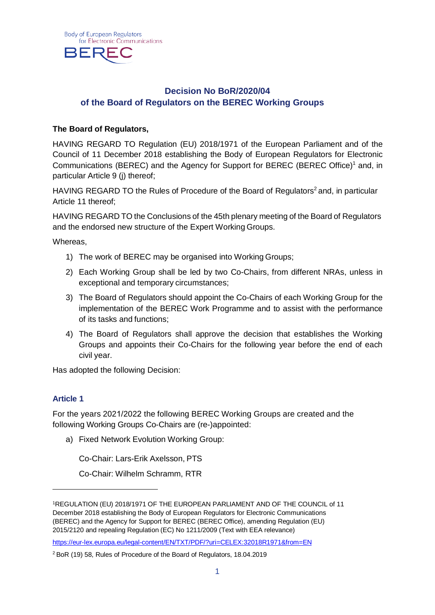<span id="page-0-1"></span>

### **Decision No BoR/2020/04 of the Board of Regulators on the BEREC Working Groups**

#### **The Board of Regulators,**

HAVING REGARD TO Regulation (EU) 2018/1971 of the European Parliament and of the Council of 11 December 2018 establishing the Body of European Regulators for Electronic Communications (BEREC) and the Agency for Support for BEREC (BEREC Office[\)1](#page-0-0) and, in particular Article 9 (j) thereof;

HAVING REGARD TO the Rules of Procedure of the Board of Regulators<sup>2</sup> and, in particular Article 11 thereof;

HAVING REGARD TO the Conclusions of the 45th plenary meeting of the Board of Regulators and the endorsed new structure of the Expert Working Groups.

Whereas,

- 1) The work of BEREC may be organised into Working Groups;
- 2) Each Working Group shall be led by two Co-Chairs, from different NRAs, unless in exceptional and temporary circumstances;
- 3) The Board of Regulators should appoint the Co-Chairs of each Working Group for the implementation of the BEREC Work Programme and to assist with the performance of its tasks and functions;
- 4) The Board of Regulators shall approve the decision that establishes the Working Groups and appoints their Co-Chairs for the following year before the end of each civil year.

Has adopted the following Decision:

### **Article 1**

For the years 2021/2022 the following BEREC Working Groups are created and the following Working Groups Co-Chairs are (re-)appointed:

a) Fixed Network Evolution Working Group:

Co-Chair: Lars-Erik Axelsson, PTS

Co-Chair: Wilhelm Schramm, RTR

<span id="page-0-0"></span><sup>1</sup>REGULATION (EU) 2018/1971 OF THE EUROPEAN PARLIAMENT AND OF THE COUNCIL of 11 December 2018 establishing the Body of European Regulators for Electronic Communications (BEREC) and the Agency for Support for BEREC (BEREC Office), amending Regulation (EU) 2015/2120 and repealing Regulation (EC) No 1211/2009 (Text with EEA relevance)

<https://eur-lex.europa.eu/legal-content/EN/TXT/PDF/?uri=CELEX:32018R1971&from=EN>

<sup>2</sup> BoR (19) 58, Rules of Procedure of the Board of Regulators, 18.04.2019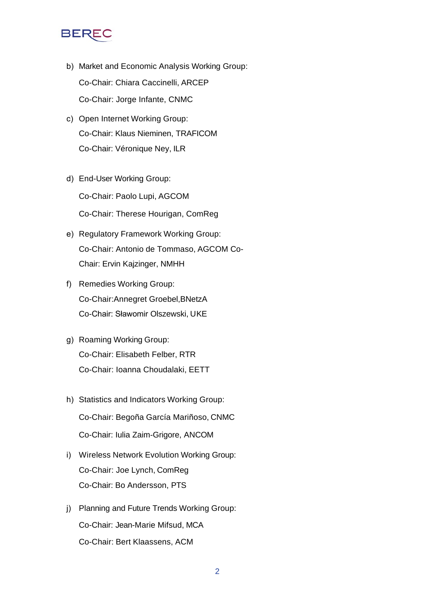# **BERE**

- b) Market and Economic Analysis Working Group: Co-Chair: Chiara Caccinelli, ARCEP Co-Chair: Jorge Infante, CNMC
- c) Open Internet Working Group: Co-Chair: Klaus Nieminen, TRAFICOM Co-Chair: Véronique Ney, ILR
- d) End-User Working Group: Co-Chair: Paolo Lupi, AGCOM Co-Chair: Therese Hourigan, ComReg
- e) Regulatory Framework Working Group: Co-Chair: Antonio de Tommaso, AGCOM Co-Chair: Ervin Kajzinger, NMHH
- f) Remedies Working Group: Co-Chair:Annegret Groebel,BNetzA Co-Chair: Sławomir Olszewski, UKE
- g) Roaming Working Group: Co-Chair: Elisabeth Felber, RTR Co-Chair: Ioanna Choudalaki, EETT
- h) Statistics and Indicators Working Group: Co-Chair: Begoña García Mariñoso, CNMC Co-Chair: Iulia Zaim-Grigore, ANCOM
- i) Wireless Network Evolution Working Group: Co-Chair: Joe Lynch, ComReg Co-Chair: Bo Andersson, PTS
- j) Planning and Future Trends Working Group: Co-Chair: Jean-Marie Mifsud, MCA Co-Chair: Bert Klaassens, ACM